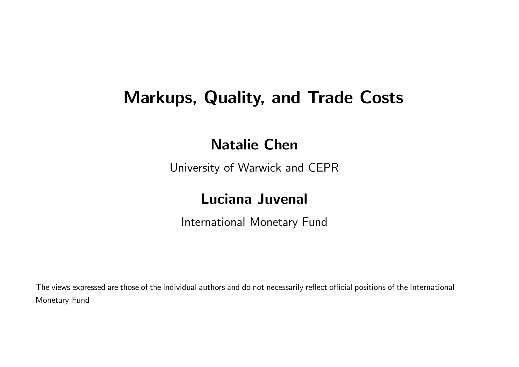## Markups, Quality, and Trade Costs

#### Natalie Chen

University of Warwick and CEPR

#### Luciana Juvenal

International Monetary Fund

The views expressed are those of the individual authors and do not necessarily reflect official positions of the International Monetary Fund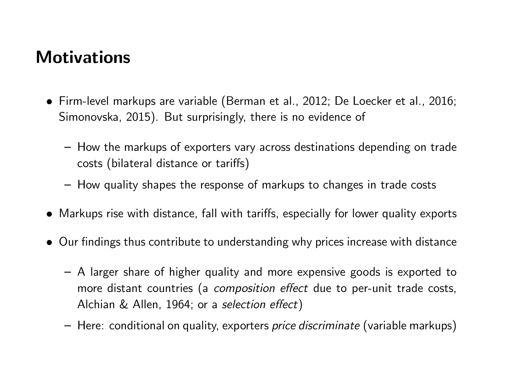## **Motivations**

- Firm-level markups are variable (Berman et al., 2012; De Loecker et al., 2016; Simonovska, 2015). But surprisingly, there is no evidence of
	- How the markups of exporters vary across destinations depending on trade costs (bilateral distance or tariffs)
	- How quality shapes the response of markups to changes in trade costs
- Markups rise with distance, fall with tariffs, especially for lower quality exports
- Our findings thus contribute to understanding why prices increase with distance
	- A larger share of higher quality and more expensive goods is exported to more distant countries (a *composition effect* due to per-unit trade costs, Alchian & Allen, 1964; or a *selection effect*)
	- Here: conditional on quality, exporters *price discriminate* (variable markups)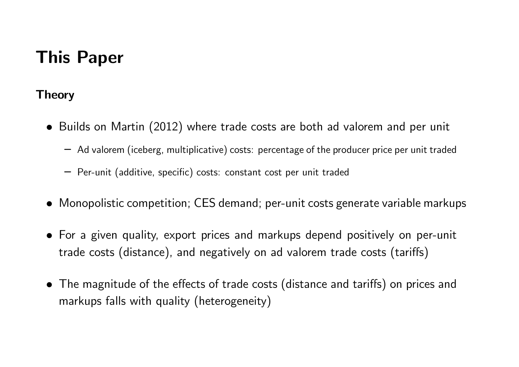# This Paper

#### **Theory**

- Builds on Martin (2012) where trade costs are both ad valorem and per unit
	- Ad valorem (iceberg, multiplicative) costs: percentage of the producer price per unit traded
	- Per-unit (additive, specific) costs: constant cost per unit traded
- Monopolistic competition; CES demand; per-unit costs generate variable markups
- For a given quality, export prices and markups depend positively on per-unit trade costs (distance), and negatively on ad valorem trade costs (tariffs)
- The magnitude of the effects of trade costs (distance and tariffs) on prices and markups falls with quality (heterogeneity)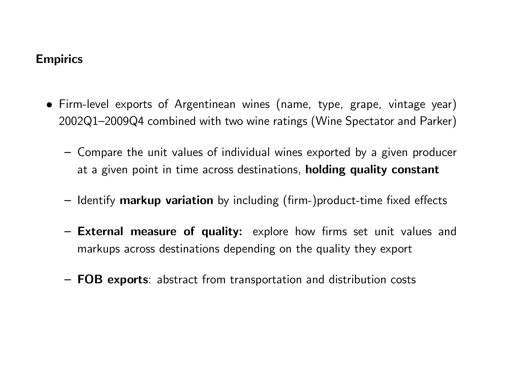#### **Empirics**

- Firm-level exports of Argentinean wines (name, type, grape, vintage year) 2002Q1–2009Q4 combined with two wine ratings (Wine Spectator and Parker)
	- Compare the unit values of individual wines exported by a given producer at a given point in time across destinations, **holding quality constant**
	- $-$  Identify markup variation by including (firm-)product-time fixed effects
	- External measure of quality: explore how firms set unit values and markups across destinations depending on the quality they export
	- FOB exports: abstract from transportation and distribution costs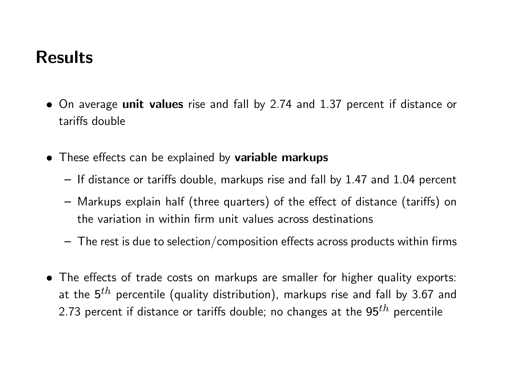## Results

- On average unit values rise and fall by 2.74 and 1.37 percent if distance or tariffs double
- These effects can be explained by variable markups
	- $-$  If distance or tariffs double, markups rise and fall by 1.47 and 1.04 percent
	- Markups explain half (three quarters) of the effect of distance (tariffs) on the variation in within firm unit values across destinations
	- $-$  The rest is due to selection/composition effects across products within firms
- The effects of trade costs on markups are smaller for higher quality exports: at the  ${\bf 5}^{th}$  percentile (quality distribution), markups rise and fall by 3.67 and 2.73 percent if distance or tariffs double; no changes at the  $95^{th}$  percentile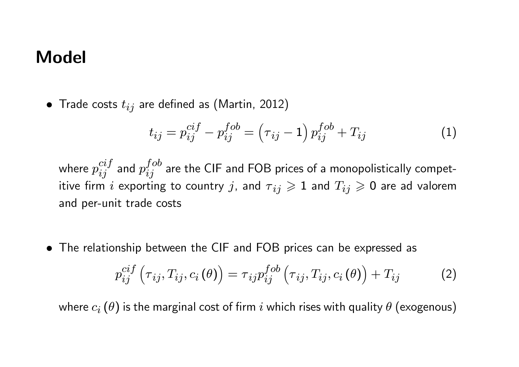### Model

• Trade costs  $t_{ij}$  are defined as (Martin, 2012)

$$
t_{ij} = p_{ij}^{cif} - p_{ij}^{fob} = (\tau_{ij} - 1) p_{ij}^{fob} + T_{ij}
$$
 (1)

where  $p_{ij}^{cif}$  $\frac{cif}{ij}$  and  $p_{ij}^{fob}$  $i_j^{\,OO}$  are the CIF and FOB prices of a monopolistically competitive firm i exporting to country j, and  $\tau_{ij} \geq 1$  and  $T_{ij} \geq 0$  are ad valorem and per-unit trade costs

• The relationship between the CIF and FOB prices can be expressed as

$$
p_{ij}^{cif}(\tau_{ij}, T_{ij}, c_i(\theta)) = \tau_{ij} p_{ij}^{fob}(\tau_{ij}, T_{ij}, c_i(\theta)) + T_{ij}
$$
 (2)

where  $c_i (\theta)$  is the marginal cost of firm i which rises with quality  $\theta$  (exogenous)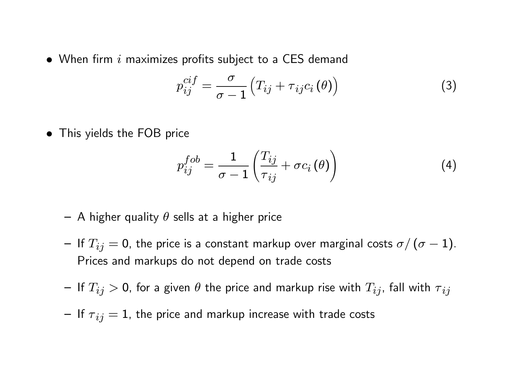$\bullet$  When firm i maximizes profits subject to a CES demand

$$
p_{ij}^{cif} = \frac{\sigma}{\sigma - 1} \left( T_{ij} + \tau_{ij} c_i \left( \theta \right) \right) \tag{3}
$$

• This yields the FOB price

$$
p_{ij}^{fob} = \frac{1}{\sigma - 1} \left( \frac{T_{ij}}{\tau_{ij}} + \sigma c_i \left( \theta \right) \right) \tag{4}
$$

- A higher quality  $\theta$  sells at a higher price
- If  $T_{ij} = 0$ , the price is a constant markup over marginal costs  $\sigma/(\sigma 1)$ . Prices and markups do not depend on trade costs
- $-$  If  $T_{ij}>$  0, for a given  $\theta$  the price and markup rise with  $T_{ij}$ , fall with  ${\tau}_{ij}$
- If  $\tau_{ij} = 1$ , the price and markup increase with trade costs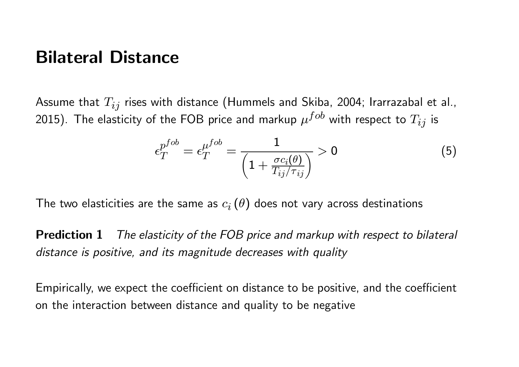#### Bilateral Distance

Assume that  $T_{ij}$  rises with distance (Hummels and Skiba, 2004; Irarrazabal et al., 2015). The elasticity of the FOB price and markup  $\mu^{fob}$  with respect to  $T_{ij}$  is

$$
\epsilon_T^{p^{fob}} = \epsilon_T^{\mu^{fob}} = \frac{1}{\left(1 + \frac{\sigma c_i(\theta)}{T_{ij}/\tau_{ij}}\right)} > 0 \tag{5}
$$

The two elasticities are the same as  $c_i\left(\theta\right)$  does not vary across destinations

Prediction 1 *The elasticity of the FOB price and markup with respect to bilateral distance is positive, and its magnitude decreases with quality*

Empirically, we expect the coefficient on distance to be positive, and the coefficient on the interaction between distance and quality to be negative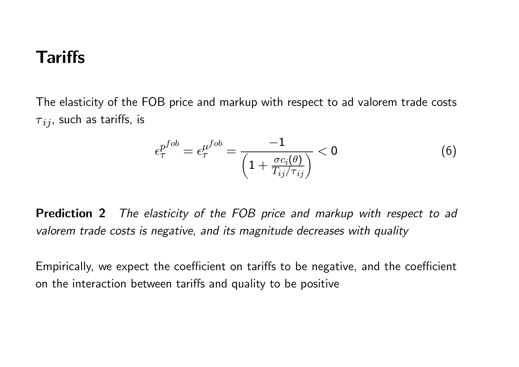## **Tariffs**

The elasticity of the FOB price and markup with respect to ad valorem trade costs  ${\tau}_{ij}$ , such as tariffs, is

$$
\epsilon_{\tau}^{p^{fob}} = \epsilon_{\tau}^{\mu^{fob}} = \frac{-1}{\left(1 + \frac{\sigma c_i(\theta)}{T_{ij}/\tau_{ij}}\right)} < 0 \tag{6}
$$

Prediction 2 *The elasticity of the FOB price and markup with respect to ad valorem trade costs is negative, and its magnitude decreases with quality*

Empirically, we expect the coefficient on tariffs to be negative, and the coefficient on the interaction between tariffs and quality to be positive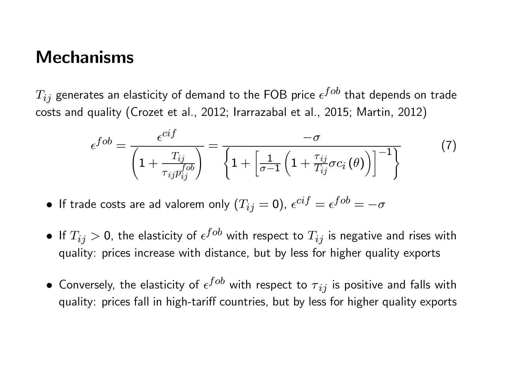### **Mechanisms**

 $T_{ij}$  generates an elasticity of demand to the FOB price  $\epsilon^{fob}$  that depends on trade costs and quality (Crozet et al., 2012; Irarrazabal et al., 2015; Martin, 2012)

$$
\epsilon^{fob} = \frac{\epsilon^{cif}}{\left(1 + \frac{T_{ij}}{\tau_{ij}p_{ij}^{fob}}\right)} = \frac{-\sigma}{\left\{1 + \left[\frac{1}{\sigma - 1}\left(1 + \frac{\tau_{ij}}{T_{ij}}\sigma c_i\left(\theta\right)\right)\right]^{-1}\right\}}
$$
(7)

- $\bullet\,$  If trade costs are ad valorem only  $(T_{ij}=0)$ ,  $\epsilon^{cif}=\epsilon^{fob}=-\sigma$
- $\bullet\,$  If  $T_{ij}>$  0, the elasticity of  $\epsilon^{fob}$  with respect to  $T_{ij}$  is negative and rises with quality: prices increase with distance, but by less for higher quality exports
- $\bullet\,$  Conversely, the elasticity of  $\epsilon^{fob}$  with respect to  ${\tau}_{ij}$  is positive and falls with quality: prices fall in high-tariff countries, but by less for higher quality exports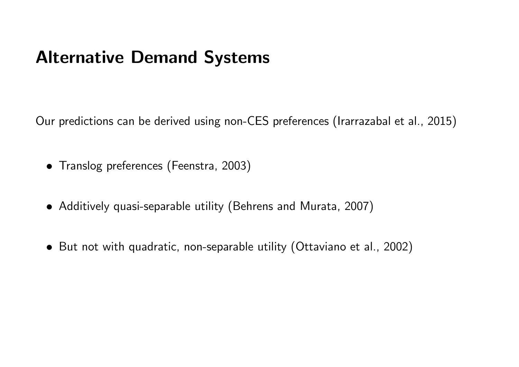## Alternative Demand Systems

Our predictions can be derived using non-CES preferences (Irarrazabal et al., 2015)

- Translog preferences (Feenstra, 2003)
- Additively quasi-separable utility (Behrens and Murata, 2007)
- But not with quadratic, non-separable utility (Ottaviano et al., 2002)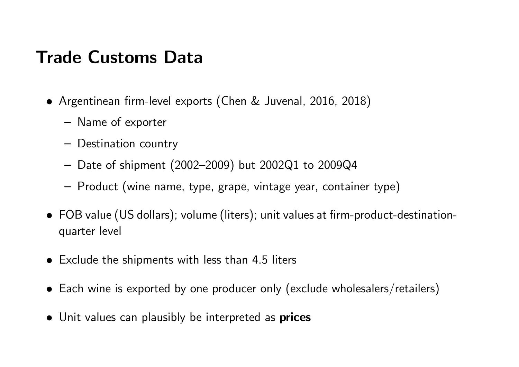## Trade Customs Data

- Argentinean firm-level exports (Chen & Juvenal, 2016, 2018)
	- Name of exporter
	- Destination country
	- Date of shipment (2002–2009) but 2002Q1 to 2009Q4
	- Product (wine name, type, grape, vintage year, container type)
- FOB value (US dollars); volume (liters); unit values at firm-product-destinationquarter level
- $\bullet$  Exclude the shipments with less than 4.5 liters
- Each wine is exported by one producer only (exclude wholesalers/retailers)
- Unit values can plausibly be interpreted as prices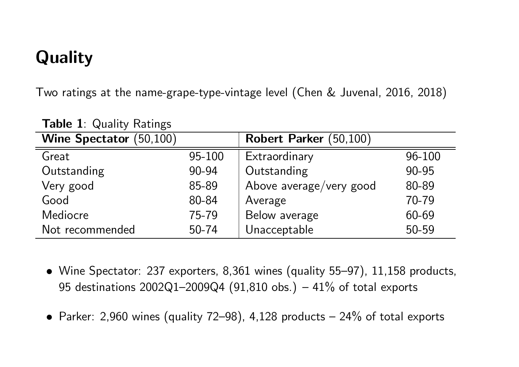# Quality

Two ratings at the name-grape-type-vintage level (Chen & Juvenal, 2016, 2018)

| <b>Wine Spectator</b> (50,100) |        | Robert Parker (50,100)  |        |
|--------------------------------|--------|-------------------------|--------|
| Great                          | 95-100 | Extraordinary           | 96-100 |
| Outstanding                    | 90-94  | Outstanding             | 90-95  |
| Very good                      | 85-89  | Above average/very good | 80-89  |
| Good                           | 80-84  | Average                 | 70-79  |
| <b>Mediocre</b>                | 75-79  | Below average           | 60-69  |
| Not recommended                | 50-74  | Unacceptable            | 50-59  |

Table 1: Quality Ratings

- Wine Spectator: 237 exporters, 8,361 wines (quality 55–97), 11,158 products, 95 destinations  $2002Q1 - 2009Q4$  (91,810 obs.) - 41% of total exports
- Parker: 2,960 wines (quality 72–98), 4,128 products 24% of total exports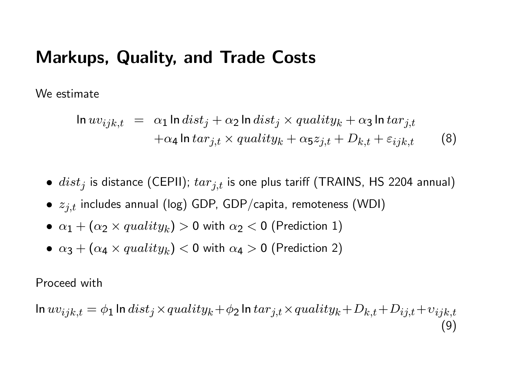#### Markups, Quality, and Trade Costs

We estimate

$$
\ln uv_{ijk,t} = \alpha_1 \ln dist_j + \alpha_2 \ln dist_j \times quality_k + \alpha_3 \ln tar_{j,t} + \alpha_4 \ln tar_{j,t} \times quality_k + \alpha_5 z_{j,t} + D_{k,t} + \varepsilon_{ijk,t}
$$
(8)

- $\bullet$   $dist_j$  is distance (CEPII);  $tar_{j,t}$  is one plus tariff (TRAINS, HS 2204 annual)
- $\bullet \; z_{j,t}$  includes annual (log) GDP, GDP/capita, remoteness (WDI)
- $\bullet$   $\alpha_1 + (\alpha_2 \times quality_k) > 0$  with  $\alpha_2 < 0$  (Prediction 1)
- $\bullet$   $\alpha_3 + (\alpha_4 \times quality_k) < 0$  with  $\alpha_4 > 0$  (Prediction 2)

Proceed with

$$
\ln uv_{ijk,t} = \phi_1 \ln dist_j \times quality_k + \phi_2 \ln tar_{j,t} \times quality_k + D_{k,t} + D_{ij,t} + v_{ijk,t}
$$
\n(9)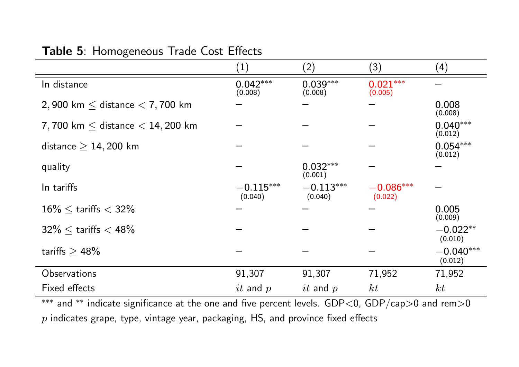|                                       | (1)                    | (2)                    | (3)                    | (4)                    |
|---------------------------------------|------------------------|------------------------|------------------------|------------------------|
| In distance                           | $0.042***$<br>(0.008)  | $0.039***$<br>(0.008)  | $0.021***$<br>(0.005)  |                        |
| 2,900 km $\leq$ distance $<$ 7,700 km |                        |                        |                        | 0.008<br>(0.008)       |
| 7,700 km $<$ distance $<$ 14,200 km   |                        |                        |                        | $0.040***$<br>(0.012)  |
| distance $\geq 14,200$ km             |                        |                        |                        | $0.054***$<br>(0.012)  |
| quality                               |                        | $0.032***$<br>(0.001)  |                        |                        |
| In tariffs                            | $-0.115***$<br>(0.040) | $-0.113***$<br>(0.040) | $-0.086***$<br>(0.022) |                        |
| $16\% \le$ tariffs $< 32\%$           |                        |                        |                        | 0.005<br>(0.009)       |
| $32\% <$ tariffs $< 48\%$             |                        |                        |                        | $-0.022**$<br>(0.010)  |
| tariffs $> 48\%$                      |                        |                        |                        | $-0.040***$<br>(0.012) |
| Observations                          | 91,307                 | 91,307                 | 71,952                 | 71,952                 |
| Fixed effects                         | $it$ and $p$           | $it$ and $p$           | kt                     | kt                     |

#### Table 5: Homogeneous Trade Cost Effects

 $\overline{a}^{\ast\ast\ast}$  and  $\overline{a}^{\ast\ast}$  indicate significance at the one and five percent levels. GDP<0, GDP/cap>0 and rem>0  $p$  indicates grape, type, vintage year, packaging,  $HS$ , and province fixed effects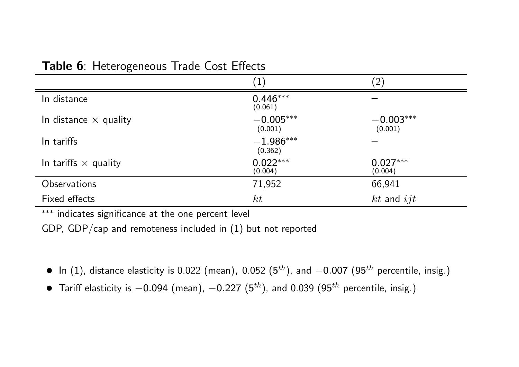|                              | $\left( 1\right)$      | $^{\prime}2,$          |
|------------------------------|------------------------|------------------------|
| In distance                  | $0.446***$<br>(0.061)  |                        |
| In distance $\times$ quality | $-0.005***$<br>(0.001) | $-0.003***$<br>(0.001) |
| In tariffs                   | $-1.986***$<br>(0.362) |                        |
| In tariffs $\times$ quality  | $0.022***$<br>(0.004)  | $0.027***$<br>(0.004)  |
| <b>Observations</b>          | 71,952<br>66,941       |                        |
| Fixed effects                | kt                     | $kt$ and $ijt$         |

#### Table 6: Heterogeneous Trade Cost Effects

\*\*\* indicates significance at the one percent level

GDP, GDP/cap and remoteness included in (1) but not reported

- $\bullet$  In (1), distance elasticity is 0.022 (mean), 0.052 (5 $^{th}$ ), and  $-0.007$  (95 $^{th}$  percentile, insig.)
- $\bullet$  Tariff elasticity is  $-0.094$  (mean),  $-0.227$   $(5^{th})$ , and 0.039  $(95^{th}$  percentile, insig.)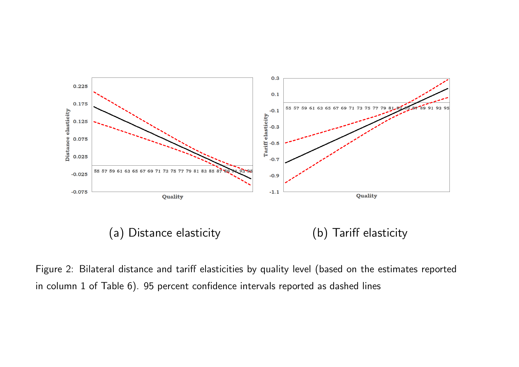

Figure 2: Bilateral distance and tariff elasticities by quality level (based on the estimates reported in column  $1$  of Table  $6$ ).  $95$  percent confidence intervals reported as dashed lines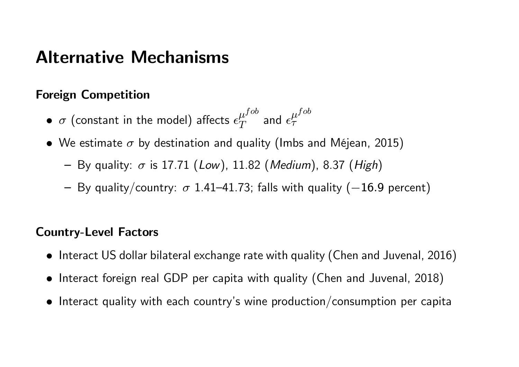### Alternative Mechanisms

#### Foreign Competition

- $\bullet$   $\sigma$  (constant in the model) affects  $\epsilon_T^{\mu^{fob}}$  $\frac{\mu^{fob}}{T}$  and  $\epsilon_{\tau}^{\mu^{fob}}$  $\tau$
- We estimate  $\sigma$  by destination and quality (Imbs and Méjean, 2015)
	- By quality: σ is 17.71 (*Low*), 11.82 (*Medium*), 8.37 (*High*)
	- By quality/country:  $\sigma$  1.41–41.73; falls with quality (-16.9 percent)

#### Country-Level Factors

- Interact US dollar bilateral exchange rate with quality (Chen and Juvenal, 2016)
- Interact foreign real GDP per capita with quality (Chen and Juvenal, 2018)
- $\bullet$  Interact quality with each country's wine production/consumption per capita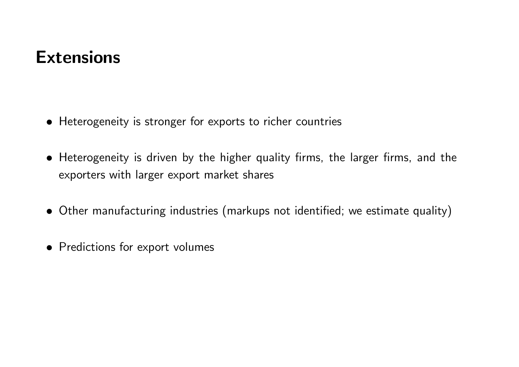## **Extensions**

- Heterogeneity is stronger for exports to richer countries
- Heterogeneity is driven by the higher quality firms, the larger firms, and the exporters with larger export market shares
- Other manufacturing industries (markups not identified; we estimate quality)
- Predictions for export volumes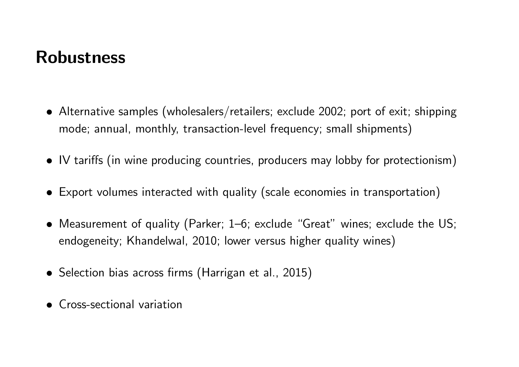## Robustness

- Alternative samples (wholesalers/retailers; exclude 2002; port of exit; shipping mode; annual, monthly, transaction-level frequency; small shipments)
- IV tariffs (in wine producing countries, producers may lobby for protectionism)
- Export volumes interacted with quality (scale economies in transportation)
- Measurement of quality (Parker; 1–6; exclude "Great" wines; exclude the US; endogeneity; Khandelwal, 2010; lower versus higher quality wines)
- Selection bias across firms (Harrigan et al., 2015)
- Cross-sectional variation